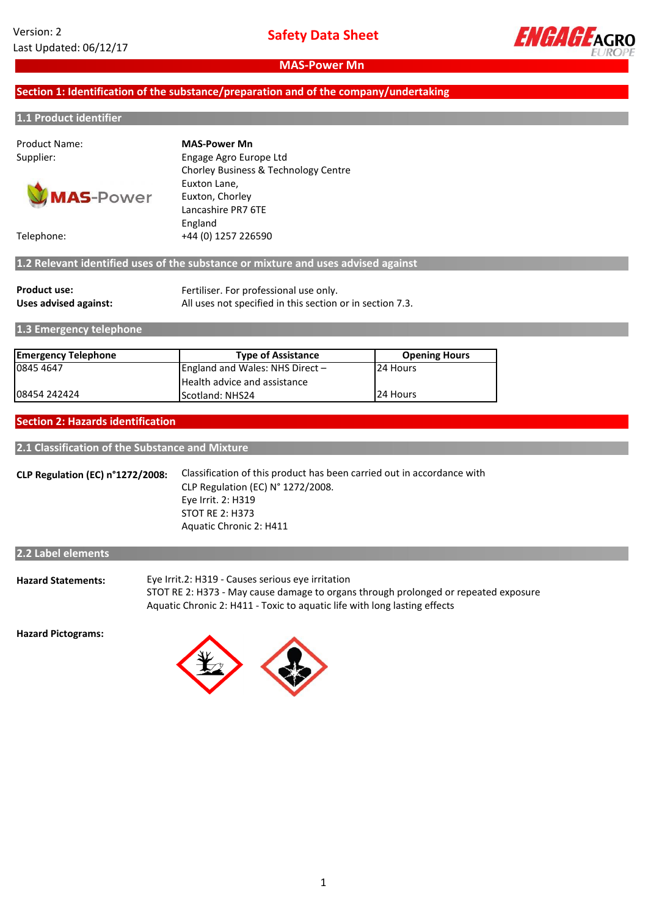

## **Section 1: Identification of the substance/preparation and of the company/undertaking**

#### **1.1 Product identifier**

Product Name:



Supplier: Engage Agro Europe Ltd Chorley Business & Technology Centre Euxton Lane, Euxton, Chorley Lancashire PR7 6TE England Telephone: +44 (0) 1257 226590 **MAS-Power Mn**

**1.2 Relevant identified uses of the substance or mixture and uses advised against**

| <b>Product use:</b>   | Fertiliser. For professional use only.                    |
|-----------------------|-----------------------------------------------------------|
| Uses advised against: | All uses not specified in this section or in section 7.3. |

**1.3 Emergency telephone**

| <b>Emergency Telephone</b> | <b>Type of Assistance</b>           | <b>Opening Hours</b> |  |
|----------------------------|-------------------------------------|----------------------|--|
| 0845 4647                  | England and Wales: NHS Direct $-$   | 24 Hours             |  |
|                            | <b>Health advice and assistance</b> |                      |  |
| 08454 242424               | <b>IScotland: NHS24</b>             | 24 Hours             |  |

#### **Section 2: Hazards identification**

**2.1 Classification of the Substance and Mixture**

**CLP Regulation (EC) n°1272/2008:** Classification of this product has been carried out in accordance with CLP Regulation (EC) N° 1272/2008. Aquatic Chronic 2: H411 Eye Irrit. 2: H319 STOT RE 2: H373

| 2.2 Label elements        |                                                                                                                                                                                                                       |
|---------------------------|-----------------------------------------------------------------------------------------------------------------------------------------------------------------------------------------------------------------------|
| <b>Hazard Statements:</b> | Eye Irrit.2: H319 - Causes serious eye irritation<br>STOT RE 2: H373 - May cause damage to organs through prolonged or repeated exposure<br>Aquatic Chronic 2: H411 - Toxic to aquatic life with long lasting effects |

**Hazard Pictograms:**

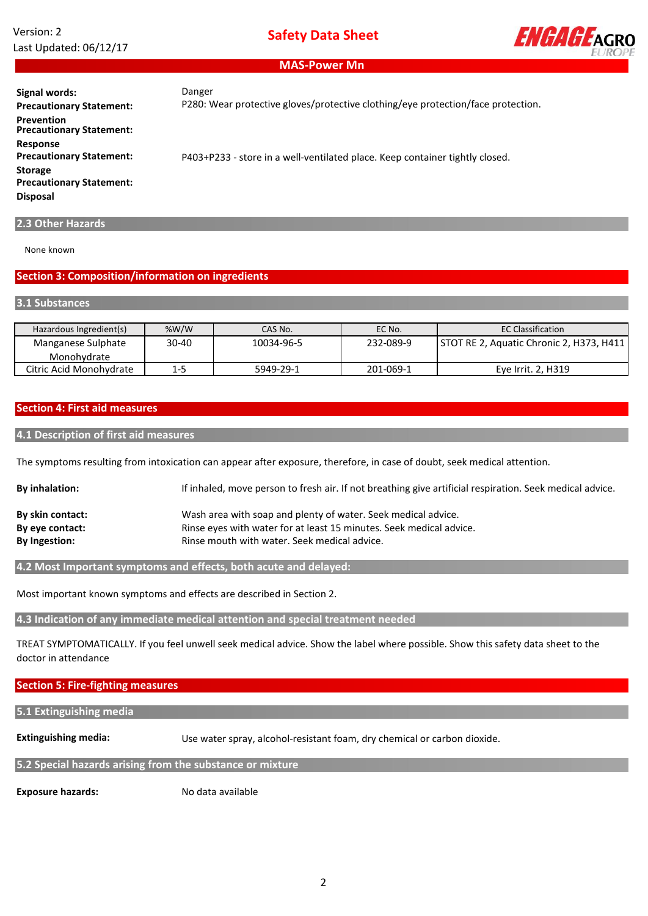# Version: 2 Last Updated: 06/12/17

**Safety Data Sheet**



**MAS-Power Mn**

#### Danger

P280: Wear protective gloves/protective clothing/eye protection/face protection.

**Signal words: Precautionary Statement: Storage Precautionary Statement: Prevention Precautionary Statement: Response Precautionary Statement: Disposal**

P403+P233 - store in a well-ventilated place. Keep container tightly closed.

## **2.3 Other Hazards**

None known

#### **Section 3: Composition/information on ingredients**

#### **3.1 Substances**

| Hazardous Ingredient(s) | % $W/W$ | CAS No.    | EC No.    | <b>EC Classification</b>                 |
|-------------------------|---------|------------|-----------|------------------------------------------|
| Manganese Sulphate      | 30-40   | 10034-96-5 | 232-089-9 | STOT RE 2, Aquatic Chronic 2, H373, H411 |
| Monohvdrate             |         |            |           |                                          |
| Citric Acid Monohydrate | 1-5     | 5949-29-1  | 201-069-1 | Eye Irrit. 2, H319                       |

## **Section 4: First aid measures**

#### **4.1 Description of first aid measures**

The symptoms resulting from intoxication can appear after exposure, therefore, in case of doubt, seek medical attention.

| <b>By inhalation:</b> | If inhaled, move person to fresh air. If not breathing give artificial respiration. Seek medical advice. |
|-----------------------|----------------------------------------------------------------------------------------------------------|
| By skin contact:      | Wash area with soap and plenty of water. Seek medical advice.                                            |
| By eye contact:       | Rinse eyes with water for at least 15 minutes. Seek medical advice.                                      |
| By Ingestion:         | Rinse mouth with water. Seek medical advice.                                                             |

**4.2 Most Important symptoms and effects, both acute and delayed:**

Most important known symptoms and effects are described in Section 2.

**4.3 Indication of any immediate medical attention and special treatment needed**

TREAT SYMPTOMATICALLY. If you feel unwell seek medical advice. Show the label where possible. Show this safety data sheet to the doctor in attendance

#### **Section 5: Fire-fighting measures**

#### **5.1 Extinguishing media**

**Extinguishing media:**

Use water spray, alcohol-resistant foam, dry chemical or carbon dioxide.

#### **5.2 Special hazards arising from the substance or mixture**

**Exposure hazards:**

No data available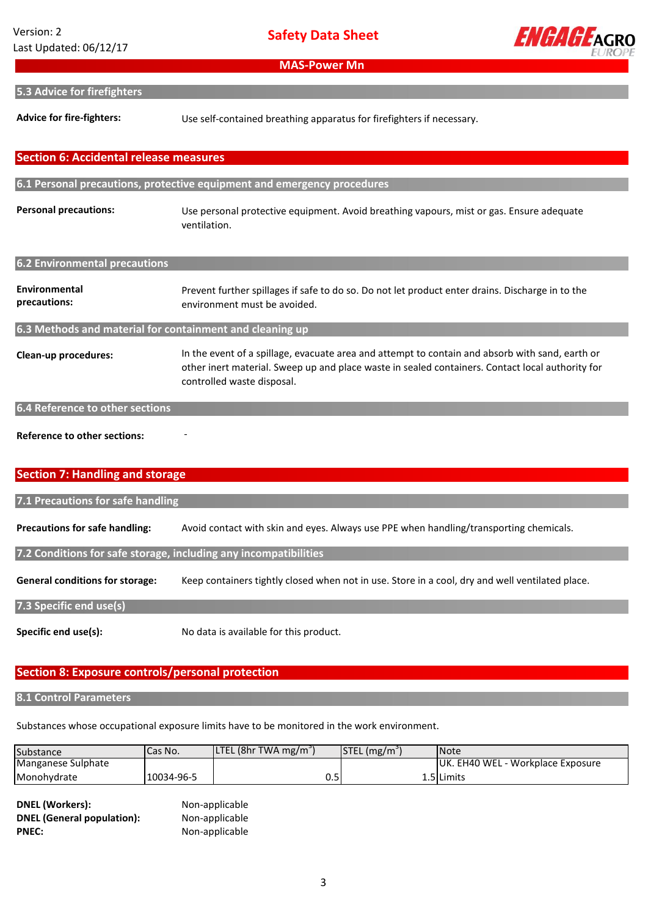**Safety Data Sheet**

**MAS-Power Mn**



## **5.3 Advice for firefighters**

**Advice for fire-fighters:** Use self-contained breathing apparatus for firefighters if necessary.

# **Personal precautions: Environmental precautions: Clean-up procedures: 6.4 Reference to other sections** In the event of a spillage, evacuate area and attempt to contain and absorb with sand, earth or other inert material. Sweep up and place waste in sealed containers. Contact local authority for controlled waste disposal. **Section 6: Accidental release measures 6.1 Personal precautions, protective equipment and emergency procedures 6.2 Environmental precautions 6.3 Methods and material for containment and cleaning up** Prevent further spillages if safe to do so. Do not let product enter drains. Discharge in to the environment must be avoided. Use personal protective equipment. Avoid breathing vapours, mist or gas. Ensure adequate ventilation.

**Reference to other sections:** 

# **Section 7: Handling and storage**

| 7.1 Precautions for safe handling                                |                                                                                                 |  |  |
|------------------------------------------------------------------|-------------------------------------------------------------------------------------------------|--|--|
| <b>Precautions for safe handling:</b>                            | Avoid contact with skin and eyes. Always use PPE when handling/transporting chemicals.          |  |  |
| 7.2 Conditions for safe storage, including any incompatibilities |                                                                                                 |  |  |
| <b>General conditions for storage:</b>                           | Keep containers tightly closed when not in use. Store in a cool, dry and well ventilated place. |  |  |
| 7.3 Specific end use(s)                                          |                                                                                                 |  |  |
|                                                                  |                                                                                                 |  |  |

# **Section 8: Exposure controls/personal protection**

-

#### **8.1 Control Parameters**

**Specific end use(s):**

Substances whose occupational exposure limits have to be monitored in the work environment.

No data is available for this product.

| Substance          | Cas No.    | <b>LTEL</b> (8hr TWA mg/m <sup>3</sup> ) | $STEL(mg/m^3)$ | <b>Note</b>                              |
|--------------------|------------|------------------------------------------|----------------|------------------------------------------|
| Manganese Sulphate |            |                                          |                | <b>UK. EH40 WEL - Workplace Exposure</b> |
| Monohvdrate        | 10034-96-5 | U.J                                      |                | 1.5 I Limits                             |

**DNEL (Workers):** Non-applicable **DNEL (General population):** Non-applicable PNEC: Non-applicable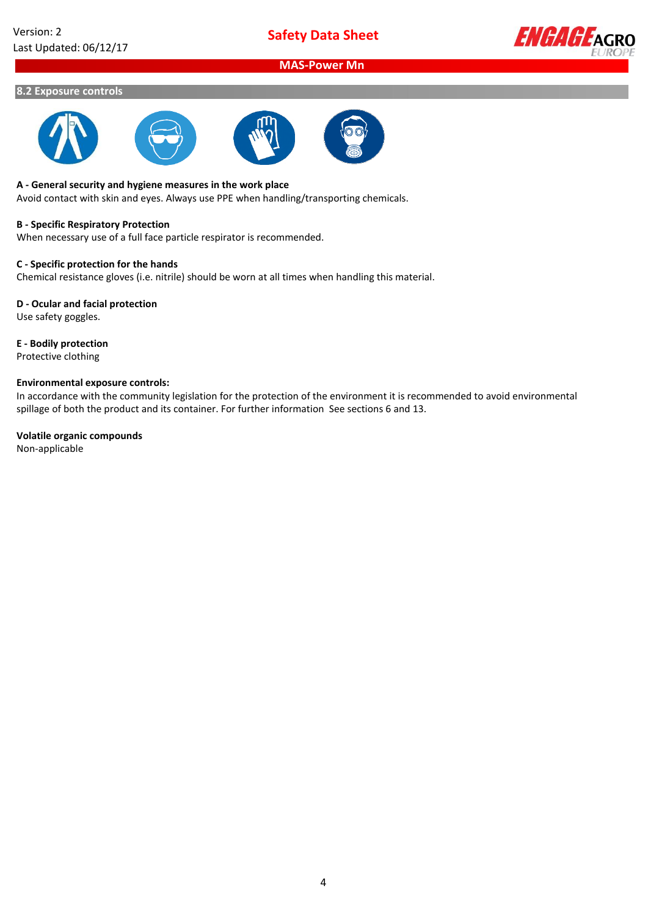**Safety Data Sheet**



# **MAS-Power Mn**

#### **8.2 Exposure controls**







#### **A - General security and hygiene measures in the work place**

Avoid contact with skin and eyes. Always use PPE when handling/transporting chemicals.

#### **B - Specific Respiratory Protection**

When necessary use of a full face particle respirator is recommended.

## **C - Specific protection for the hands**

Chemical resistance gloves (i.e. nitrile) should be worn at all times when handling this material.

## **D - Ocular and facial protection**

Use safety goggles.

# **E - Bodily protection**

Protective clothing

#### **Environmental exposure controls:**

In accordance with the community legislation for the protection of the environment it is recommended to avoid environmental spillage of both the product and its container. For further information See sections 6 and 13.

#### **Volatile organic compounds**

Non-applicable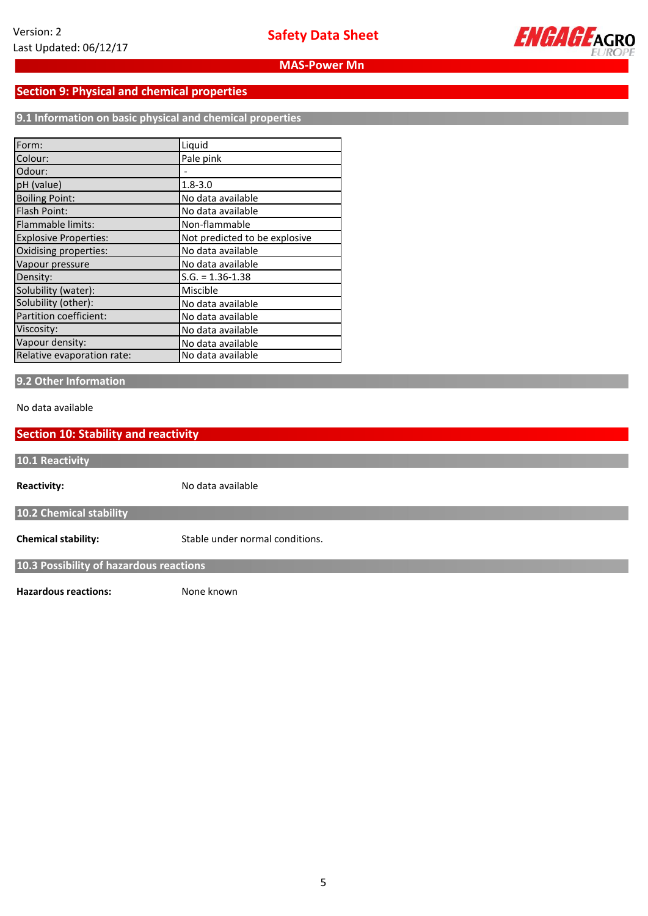

# **Section 9: Physical and chemical properties**

**9.1 Information on basic physical and chemical properties**

| Form:                        | Liquid                        |
|------------------------------|-------------------------------|
| Colour:                      | Pale pink                     |
| Odour:                       |                               |
| pH (value)                   | $1.8 - 3.0$                   |
| <b>Boiling Point:</b>        | No data available             |
| Flash Point:                 | No data available             |
| Flammable limits:            | Non-flammable                 |
| <b>Explosive Properties:</b> | Not predicted to be explosive |
| Oxidising properties:        | No data available             |
| Vapour pressure              | No data available             |
| Density:                     | $S.G. = 1.36 - 1.38$          |
| Solubility (water):          | Miscible                      |
| Solubility (other):          | No data available             |
| Partition coefficient:       | No data available             |
| Viscosity:                   | No data available             |
| Vapour density:              | No data available             |
| Relative evaporation rate:   | No data available             |

# **9.2 Other Information**

No data available

| <b>Section 10: Stability and reactivity</b> |                                 |  |  |
|---------------------------------------------|---------------------------------|--|--|
| 10.1 Reactivity                             |                                 |  |  |
| <b>Reactivity:</b>                          | No data available               |  |  |
| 10.2 Chemical stability                     |                                 |  |  |
| <b>Chemical stability:</b>                  | Stable under normal conditions. |  |  |
| 10.3 Possibility of hazardous reactions     |                                 |  |  |
| <b>Hazardous reactions:</b>                 | None known                      |  |  |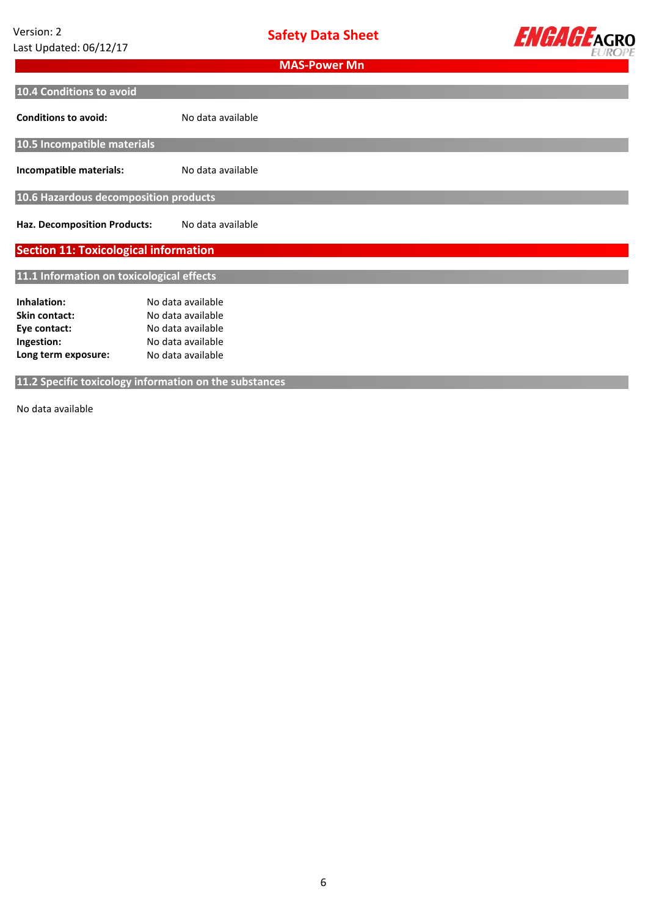**Safety Data Sheet**



| <b>MAS-Power Mn</b>                          |                                                        |  |  |
|----------------------------------------------|--------------------------------------------------------|--|--|
| 10.4 Conditions to avoid                     |                                                        |  |  |
| <b>Conditions to avoid:</b>                  | No data available                                      |  |  |
| 10.5 Incompatible materials                  |                                                        |  |  |
| Incompatible materials:                      | No data available                                      |  |  |
| 10.6 Hazardous decomposition products        |                                                        |  |  |
| <b>Haz. Decomposition Products:</b>          | No data available                                      |  |  |
| <b>Section 11: Toxicological information</b> |                                                        |  |  |
| 11.1 Information on toxicological effects    |                                                        |  |  |
| Inhalation:                                  | No data available                                      |  |  |
| <b>Skin contact:</b>                         | No data available                                      |  |  |
| Eye contact:                                 | No data available                                      |  |  |
| Ingestion:                                   | No data available                                      |  |  |
| Long term exposure:                          | No data available                                      |  |  |
|                                              | 11.2 Specific toxicology information on the substances |  |  |

No data available **available**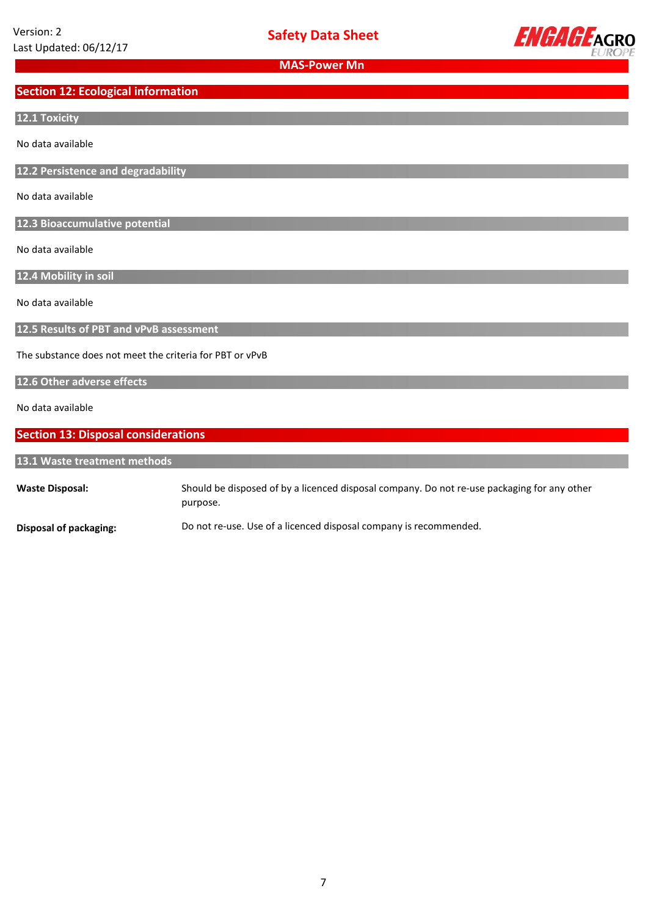

# **Section 12: Ecological information**

## **12.1 Toxicity**

No data available

**12.2 Persistence and degradability**

No data available

**12.3 Bioaccumulative potential**

No data available

**12.4 Mobility in soil**

No data available

**12.5 Results of PBT and vPvB assessment**

The substance does not meet the criteria for PBT or vPvB

## **12.6 Other adverse effects**

No data available

# **Section 13: Disposal considerations**

| 13.1 Waste treatment methods |                                                                                                         |  |  |
|------------------------------|---------------------------------------------------------------------------------------------------------|--|--|
| <b>Waste Disposal:</b>       | Should be disposed of by a licenced disposal company. Do not re-use packaging for any other<br>purpose. |  |  |
| Disposal of packaging:       | Do not re-use. Use of a licenced disposal company is recommended.                                       |  |  |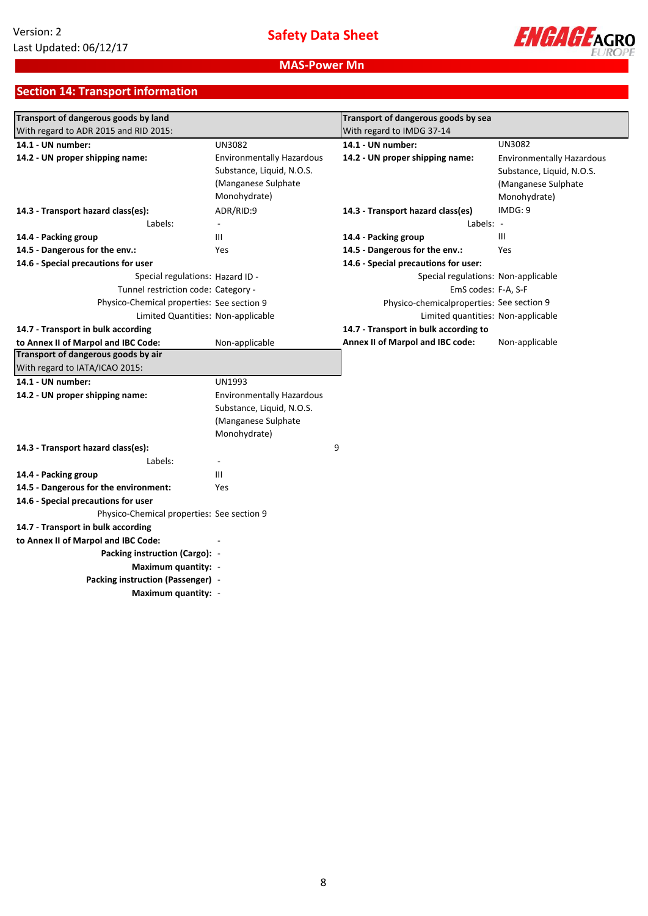

# **Section 14: Transport information**

| Transport of dangerous goods by land       |                                  | Transport of dangerous goods by sea       |                                  |
|--------------------------------------------|----------------------------------|-------------------------------------------|----------------------------------|
| With regard to ADR 2015 and RID 2015:      |                                  | With regard to IMDG 37-14                 |                                  |
| 14.1 - UN number:                          | <b>UN3082</b>                    | 14.1 - UN number:                         | <b>UN3082</b>                    |
| 14.2 - UN proper shipping name:            | <b>Environmentally Hazardous</b> | 14.2 - UN proper shipping name:           | <b>Environmentally Hazardous</b> |
|                                            | Substance, Liquid, N.O.S.        |                                           | Substance, Liquid, N.O.S.        |
|                                            | (Manganese Sulphate              |                                           | (Manganese Sulphate)             |
|                                            | Monohydrate)                     |                                           | Monohydrate)                     |
| 14.3 - Transport hazard class(es):         | ADR/RID:9                        | 14.3 - Transport hazard class(es)         | IMDG: 9                          |
| Labels:                                    | $\overline{\phantom{a}}$         | Labels: -                                 |                                  |
| 14.4 - Packing group                       | Ш                                | 14.4 - Packing group                      | III                              |
| 14.5 - Dangerous for the env.:             | <b>Yes</b>                       | 14.5 - Dangerous for the env.:            | Yes                              |
| 14.6 - Special precautions for user        |                                  | 14.6 - Special precautions for user:      |                                  |
| Special regulations: Hazard ID -           |                                  | Special regulations: Non-applicable       |                                  |
| Tunnel restriction code: Category -        |                                  | EmS codes: F-A, S-F                       |                                  |
| Physico-Chemical properties: See section 9 |                                  | Physico-chemicalproperties: See section 9 |                                  |
| Limited Quantities: Non-applicable         |                                  | Limited quantities: Non-applicable        |                                  |
| 14.7 - Transport in bulk according         |                                  | 14.7 - Transport in bulk according to     |                                  |
| to Annex II of Marpol and IBC Code:        | Non-applicable                   | Annex II of Marpol and IBC code:          | Non-applicable                   |
| Transport of dangerous goods by air        |                                  |                                           |                                  |
| With regard to IATA/ICAO 2015:             |                                  |                                           |                                  |
| 14.1 - UN number:                          | <b>UN1993</b>                    |                                           |                                  |
| 14.2 - UN proper shipping name:            | <b>Environmentally Hazardous</b> |                                           |                                  |
|                                            | Substance, Liquid, N.O.S.        |                                           |                                  |
|                                            | (Manganese Sulphate              |                                           |                                  |
|                                            | Monohydrate)                     |                                           |                                  |
| 14.3 - Transport hazard class(es):         | 9                                |                                           |                                  |
| Labels:                                    |                                  |                                           |                                  |
| 14.4 - Packing group                       | Ш                                |                                           |                                  |
| 14.5 - Dangerous for the environment:      | Yes                              |                                           |                                  |
| 14.6 - Special precautions for user        |                                  |                                           |                                  |
| Physico-Chemical properties: See section 9 |                                  |                                           |                                  |
| 14.7 - Transport in bulk according         |                                  |                                           |                                  |
| to Annex II of Marpol and IBC Code:        |                                  |                                           |                                  |
| Packing instruction (Cargo): -             |                                  |                                           |                                  |
| Maximum quantity: -                        |                                  |                                           |                                  |
| Packing instruction (Passenger) -          |                                  |                                           |                                  |
| Maximum quantity: -                        |                                  |                                           |                                  |
|                                            |                                  |                                           |                                  |